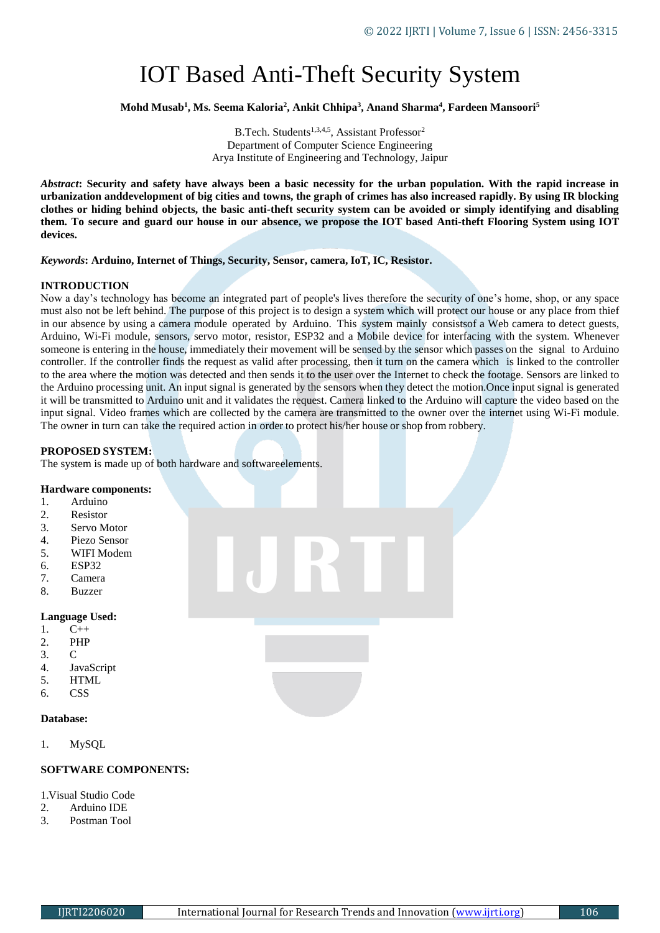# IOT Based Anti-Theft Security System

**Mohd Musab<sup>1</sup> , Ms. Seema Kaloria<sup>2</sup> , Ankit Chhipa<sup>3</sup> , Anand Sharma<sup>4</sup> , Fardeen Mansoori<sup>5</sup>**

B.Tech. Students<sup>1,3,4,5</sup>, Assistant Professor<sup>2</sup> Department of Computer Science Engineering Arya Institute of Engineering and Technology, Jaipur

*Abstract***: Security and safety have always been a basic necessity for the urban population. With the rapid increase in urbanization anddevelopment of big cities and towns, the graph of crimes has also increased rapidly. By using IR blocking clothes or hiding behind objects, the basic anti-theft security system can be avoided or simply identifying and disabling**  them. To secure and guard our house in our absence, we propose the IOT based Anti-theft Flooring System using IOT **devices.**

*Keywords***: Arduino, Internet of Things, Security, Sensor, camera, IoT, IC, Resistor.**

## **INTRODUCTION**

Now a day's technology has become an integrated part of people's lives therefore the security of one's home, shop, or any space must also not be left behind. The purpose of this project is to design a system which will protect our house or any place from thief in our absence by using a camera module operated by Arduino. This system mainly consistsof a Web camera to detect guests, Arduino, Wi-Fi module, sensors, servo motor, resistor, ESP32 and a Mobile device for interfacing with the system. Whenever someone is entering in the house, immediately their movement will be sensed by the sensor which passes on the signal to Arduino controller. If the controller finds the request as valid after processing, then it turn on the camera which is linked to the controller to the area where the motion was detected and then sends it to the user over the Internet to check the footage. Sensors are linked to the Arduino processing unit. An input signal is generated by the sensors when they detect the motion.Once input signal is generated it will be transmitted to Arduino unit and it validates the request. Camera linked to the Arduino will capture the video based on the input signal. Video frames which are collected by the camera are transmitted to the owner over the internet using Wi-Fi module. The owner in turn can take the required action in order to protect his/her house or shop from robbery.

# **PROPOSED SYSTEM:**

The system is made up of both hardware and softwareelements.

#### **Hardware components:**

- 1. Arduino
- 2. Resistor
- 3. Servo Motor
- 4. Piezo Sensor
- 5. WIFI Modem
- 6. ESP32
- 7. Camera
- 8. Buzzer

#### **Language Used:**

- 1. C++
- 2. PHP
- 3. C
- 4. JavaScript
- 5. HTML
- 6. CSS

## **Database:**

1. MySQL

# **SOFTWARE COMPONENTS:**

#### 1. Visual Studio Code

- 2. Arduino IDE
- 3. Postman Tool

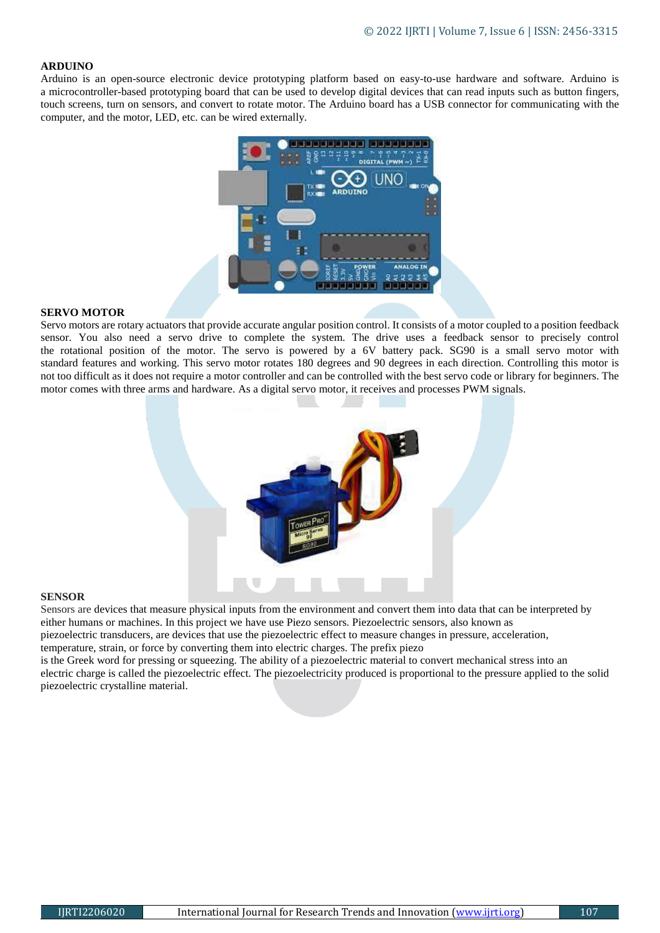## **ARDUINO**

Arduino is an open-source electronic device prototyping platform based on easy-to-use hardware and software. Arduino is a microcontroller-based prototyping board that can be used to develop digital devices that can read inputs such as button fingers, touch screens, turn on sensors, and convert to rotate motor. The Arduino board has a USB connector for communicating with the computer, and the motor, LED, etc. can be wired externally.



#### **SERVO MOTOR**

Servo motors are rotary actuators that provide accurate angular position control. It consists of a motor coupled to a position feedback sensor. You also need a servo drive to complete the system. The drive uses a feedback sensor to precisely control the rotational position of the motor. The servo is powered by a 6V battery pack. SG90 is a small servo motor with standard features and working. This servo motor rotates 180 degrees and 90 degrees in each direction. Controlling this motor is not too difficult as it does not require a motor controller and can be controlled with the best servo code or library for beginners. The motor comes with three arms and hardware. As a digital servo motor, it receives and processes PWM signals.



#### **SENSOR**

Sensors are devices that measure physical inputs from the environment and convert them into data that can be interpreted by either humans or machines. In this project we have use Piezo sensors. Piezoelectric sensors, also known as piezoelectric transducers, are devices that use the piezoelectric effect to measure changes in pressure, acceleration, temperature, strain, or force by converting them into electric charges. The prefix piezo is the Greek word for pressing or squeezing. The ability of a piezoelectric material to convert mechanical stress into an electric charge is called the piezoelectric effect. The piezoelectricity produced is proportional to the pressure applied to the solid piezoelectric crystalline material.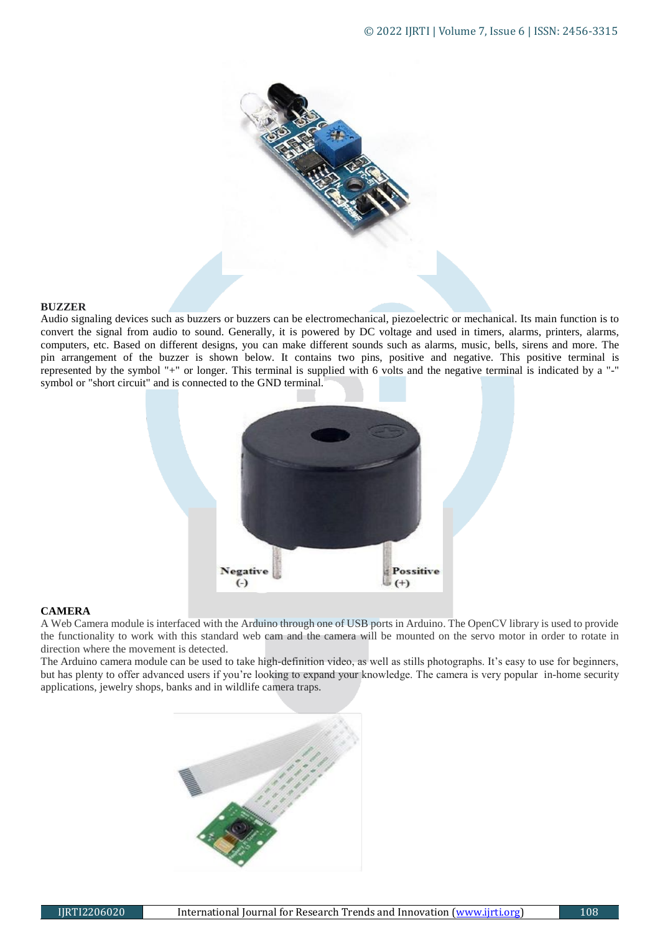

## **BUZZER**

Audio signaling devices such as buzzers or buzzers can be electromechanical, piezoelectric or mechanical. Its main function is to convert the signal from audio to sound. Generally, it is powered by DC voltage and used in timers, alarms, printers, alarms, computers, etc. Based on different designs, you can make different sounds such as alarms, music, bells, sirens and more. The pin arrangement of the buzzer is shown below. It contains two pins, positive and negative. This positive terminal is represented by the symbol "+" or longer. This terminal is supplied with 6 volts and the negative terminal is indicated by a "-" symbol or "short circuit" and is connected to the GND terminal.



# **CAMERA**

A Web Camera module is interfaced with the Arduino through one of USB ports in Arduino. The OpenCV library is used to provide the functionality to work with this standard web cam and the camera will be mounted on the servo motor in order to rotate in direction where the movement is detected.

The Arduino camera module can be used to take high-definition video, as well as stills photographs. It's easy to use for beginners, but has plenty to offer advanced users if you're looking to expand your knowledge. The camera is very popular in-home security applications, jewelry shops, banks and in wildlife camera traps.